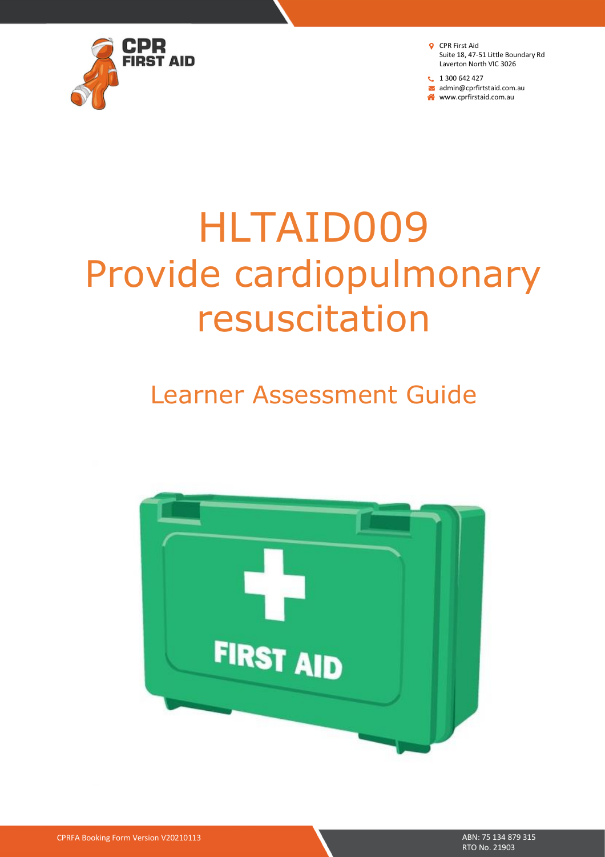

 $1300642427$ admin@cprfirtstaid.com.au www.cprfirstaid.com.au

# HLTAID009 Provide cardiopulmonary resuscitation

# Learner Assessment Guide



CPRFA Booking Form Version V20210113 ABN: 75 134 879 315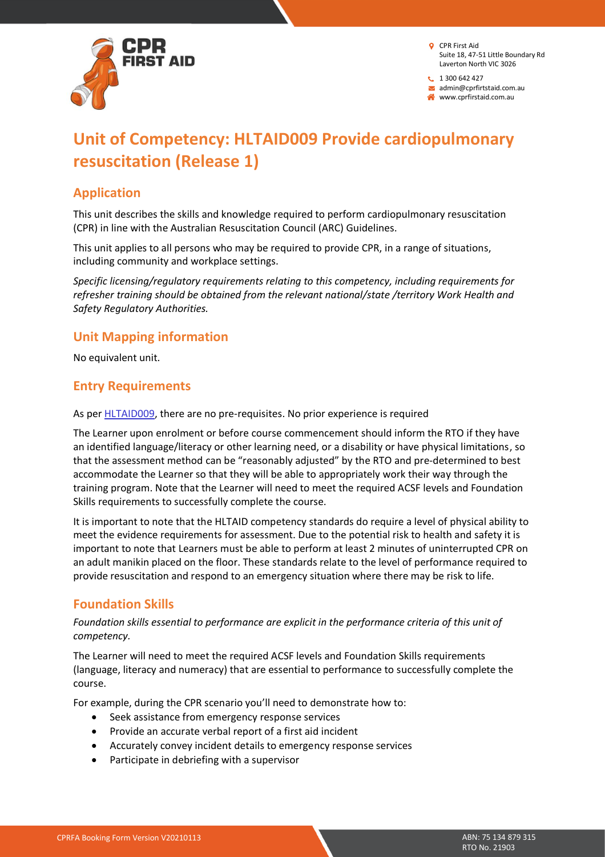

 $1300642427$ admin@cprfirtstaid.com.au

www.cprfirstaid.com.au

# **Unit of Competency: HLTAID009 Provide cardiopulmonary resuscitation (Release 1)**

#### **Application**

This unit describes the skills and knowledge required to perform cardiopulmonary resuscitation (CPR) in line with the Australian Resuscitation Council (ARC) Guidelines.

This unit applies to all persons who may be required to provide CPR, in a range of situations, including community and workplace settings.

*Specific licensing/regulatory requirements relating to this competency, including requirements for refresher training should be obtained from the relevant national/state /territory Work Health and Safety Regulatory Authorities.*

#### **Unit Mapping information**

No equivalent unit.

#### **Entry Requirements**

As per **HLTAID009**, there are no pre-requisites. No prior experience is required

The Learner upon enrolment or before course commencement should inform the RTO if they have an identified language/literacy or other learning need, or a disability or have physical limitations, so that the assessment method can be "reasonably adjusted" by the RTO and pre-determined to best accommodate the Learner so that they will be able to appropriately work their way through the training program. Note that the Learner will need to meet the required ACSF levels and Foundation Skills requirements to successfully complete the course.

It is important to note that the HLTAID competency standards do require a level of physical ability to meet the evidence requirements for assessment. Due to the potential risk to health and safety it is important to note that Learners must be able to perform at least 2 minutes of uninterrupted CPR on an adult manikin placed on the floor. These standards relate to the level of performance required to provide resuscitation and respond to an emergency situation where there may be risk to life.

#### **Foundation Skills**

#### *Foundation skills essential to performance are explicit in the performance criteria of this unit of competency.*

The Learner will need to meet the required ACSF levels and Foundation Skills requirements (language, literacy and numeracy) that are essential to performance to successfully complete the course.

For example, during the CPR scenario you'll need to demonstrate how to:

- Seek assistance from emergency response services
- Provide an accurate verbal report of a first aid incident
- Accurately convey incident details to emergency response services
- Participate in debriefing with a supervisor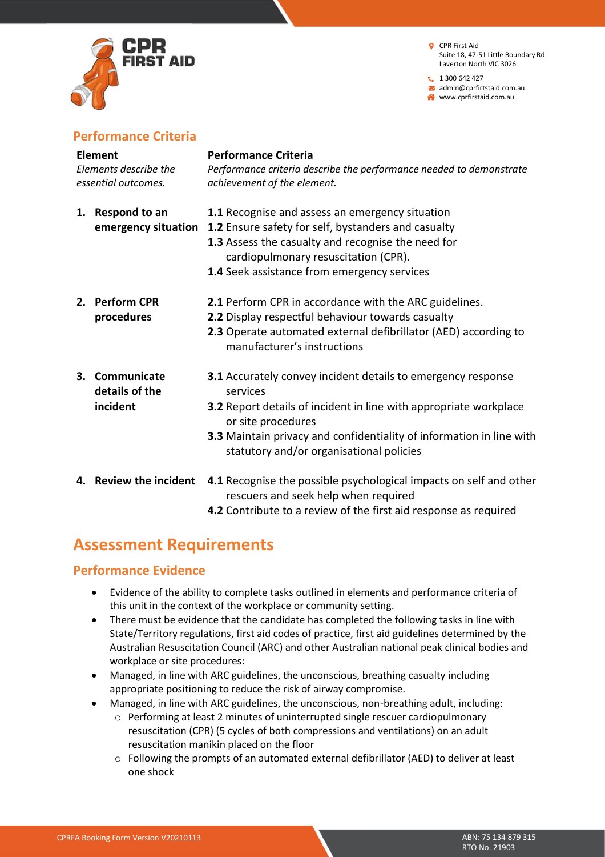

**t** 1 300 642 427 admin@cprfirtstaid.com.au www.cprfirstaid.com.au

#### **Performance Criteria**

| <b>Element</b><br>Elements describe the<br>essential outcomes. |                                              | <b>Performance Criteria</b><br>Performance criteria describe the performance needed to demonstrate<br>achievement of the element.                                                                                                                                                       |
|----------------------------------------------------------------|----------------------------------------------|-----------------------------------------------------------------------------------------------------------------------------------------------------------------------------------------------------------------------------------------------------------------------------------------|
|                                                                | 1. Respond to an<br>emergency situation      | 1.1 Recognise and assess an emergency situation<br>1.2 Ensure safety for self, bystanders and casualty<br>1.3 Assess the casualty and recognise the need for<br>cardiopulmonary resuscitation (CPR).<br>1.4 Seek assistance from emergency services                                     |
|                                                                | 2. Perform CPR<br>procedures                 | 2.1 Perform CPR in accordance with the ARC guidelines.<br>2.2 Display respectful behaviour towards casualty<br>2.3 Operate automated external defibrillator (AED) according to<br>manufacturer's instructions                                                                           |
|                                                                | 3. Communicate<br>details of the<br>incident | 3.1 Accurately convey incident details to emergency response<br>services<br>3.2 Report details of incident in line with appropriate workplace<br>or site procedures<br>3.3 Maintain privacy and confidentiality of information in line with<br>statutory and/or organisational policies |
|                                                                | 4. Review the incident                       | 4.1 Recognise the possible psychological impacts on self and other<br>rescuers and seek help when required<br>4.2 Contribute to a review of the first aid response as required                                                                                                          |

## **Assessment Requirements**

#### **Performance Evidence**

- Evidence of the ability to complete tasks outlined in elements and performance criteria of this unit in the context of the workplace or community setting.
- There must be evidence that the candidate has completed the following tasks in line with State/Territory regulations, first aid codes of practice, first aid guidelines determined by the Australian Resuscitation Council (ARC) and other Australian national peak clinical bodies and workplace or site procedures:
- Managed, in line with ARC guidelines, the unconscious, breathing casualty including appropriate positioning to reduce the risk of airway compromise.
- Managed, in line with ARC guidelines, the unconscious, non-breathing adult, including:
	- o Performing at least 2 minutes of uninterrupted single rescuer cardiopulmonary resuscitation (CPR) (5 cycles of both compressions and ventilations) on an adult resuscitation manikin placed on the floor
	- o Following the prompts of an automated external defibrillator (AED) to deliver at least one shock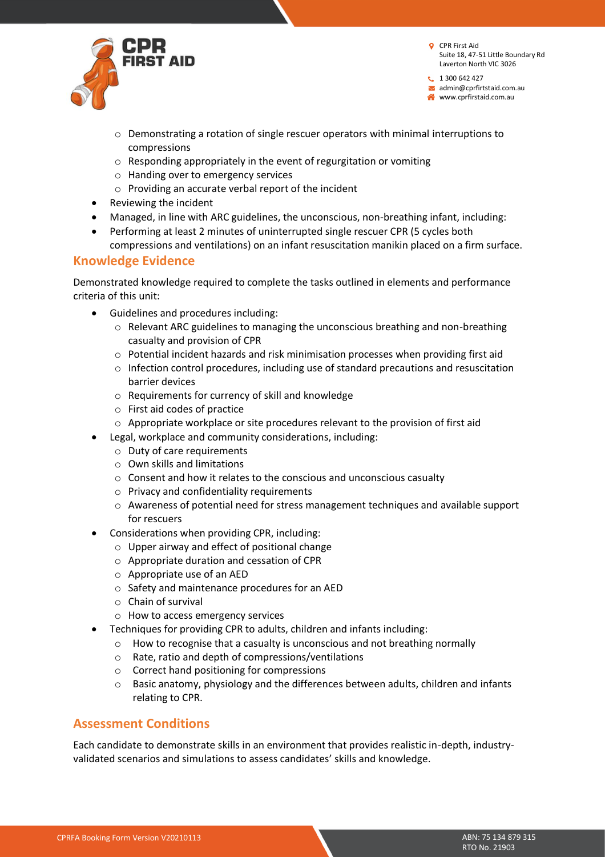

 $1300642427$ admin@cprfirtstaid.com.au

www.cprfirstaid.com.au

- $\circ$  Demonstrating a rotation of single rescuer operators with minimal interruptions to compressions
- o Responding appropriately in the event of regurgitation or vomiting
- o Handing over to emergency services
- o Providing an accurate verbal report of the incident
- Reviewing the incident
- Managed, in line with ARC guidelines, the unconscious, non-breathing infant, including:
- Performing at least 2 minutes of uninterrupted single rescuer CPR (5 cycles both compressions and ventilations) on an infant resuscitation manikin placed on a firm surface.

#### **Knowledge Evidence**

Demonstrated knowledge required to complete the tasks outlined in elements and performance criteria of this unit:

- Guidelines and procedures including:
	- $\circ$  Relevant ARC guidelines to managing the unconscious breathing and non-breathing casualty and provision of CPR
	- $\circ$  Potential incident hazards and risk minimisation processes when providing first aid
	- $\circ$  Infection control procedures, including use of standard precautions and resuscitation barrier devices
	- o Requirements for currency of skill and knowledge
	- o First aid codes of practice
	- o Appropriate workplace or site procedures relevant to the provision of first aid
- Legal, workplace and community considerations, including:
	- o Duty of care requirements
	- o Own skills and limitations
	- o Consent and how it relates to the conscious and unconscious casualty
	- o Privacy and confidentiality requirements
	- o Awareness of potential need for stress management techniques and available support for rescuers
- Considerations when providing CPR, including:
	- $\circ$  Upper airway and effect of positional change
	- o Appropriate duration and cessation of CPR
	- o Appropriate use of an AED
	- o Safety and maintenance procedures for an AED
	- o Chain of survival
	- o How to access emergency services
- Techniques for providing CPR to adults, children and infants including:
	- o How to recognise that a casualty is unconscious and not breathing normally
	- o Rate, ratio and depth of compressions/ventilations
	- o Correct hand positioning for compressions
	- o Basic anatomy, physiology and the differences between adults, children and infants relating to CPR.

#### **Assessment Conditions**

Each candidate to demonstrate skills in an environment that provides realistic in-depth, industryvalidated scenarios and simulations to assess candidates' skills and knowledge.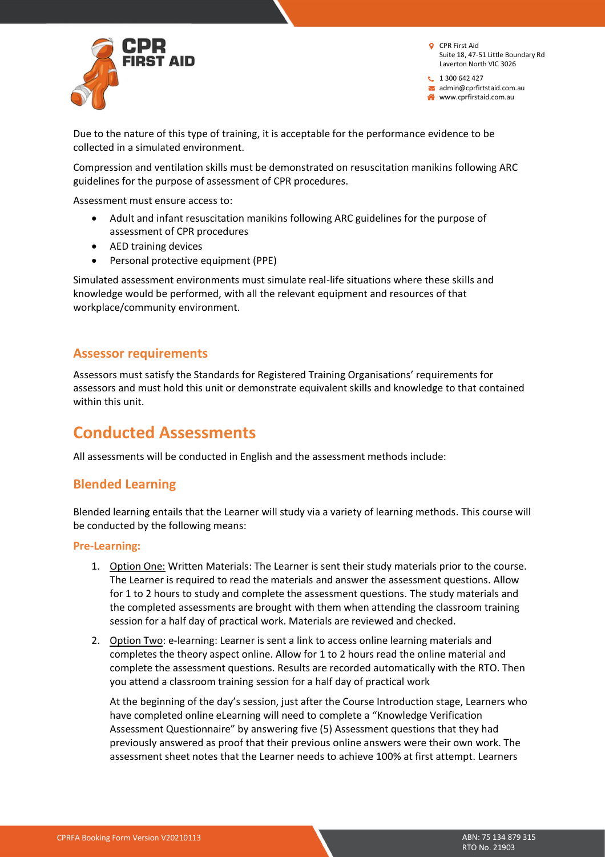

 $1300642427$ admin@cprfirtstaid.com.au www.cprfirstaid.com.au

Due to the nature of this type of training, it is acceptable for the performance evidence to be collected in a simulated environment.

Compression and ventilation skills must be demonstrated on resuscitation manikins following ARC guidelines for the purpose of assessment of CPR procedures.

Assessment must ensure access to:

- Adult and infant resuscitation manikins following ARC guidelines for the purpose of assessment of CPR procedures
- AED training devices
- Personal protective equipment (PPE)

Simulated assessment environments must simulate real-life situations where these skills and knowledge would be performed, with all the relevant equipment and resources of that workplace/community environment.

#### **Assessor requirements**

Assessors must satisfy the Standards for Registered Training Organisations' requirements for assessors and must hold this unit or demonstrate equivalent skills and knowledge to that contained within this unit.

### **Conducted Assessments**

All assessments will be conducted in English and the assessment methods include:

#### **Blended Learning**

Blended learning entails that the Learner will study via a variety of learning methods. This course will be conducted by the following means:

#### **Pre-Learning:**

- 1. Option One: Written Materials: The Learner is sent their study materials prior to the course. The Learner is required to read the materials and answer the assessment questions. Allow for 1 to 2 hours to study and complete the assessment questions. The study materials and the completed assessments are brought with them when attending the classroom training session for a half day of practical work. Materials are reviewed and checked.
- 2. Option Two: e-learning: Learner is sent a link to access online learning materials and completes the theory aspect online. Allow for 1 to 2 hours read the online material and complete the assessment questions. Results are recorded automatically with the RTO. Then you attend a classroom training session for a half day of practical work

At the beginning of the day's session, just after the Course Introduction stage, Learners who have completed online eLearning will need to complete a "Knowledge Verification Assessment Questionnaire" by answering five (5) Assessment questions that they had previously answered as proof that their previous online answers were their own work. The assessment sheet notes that the Learner needs to achieve 100% at first attempt. Learners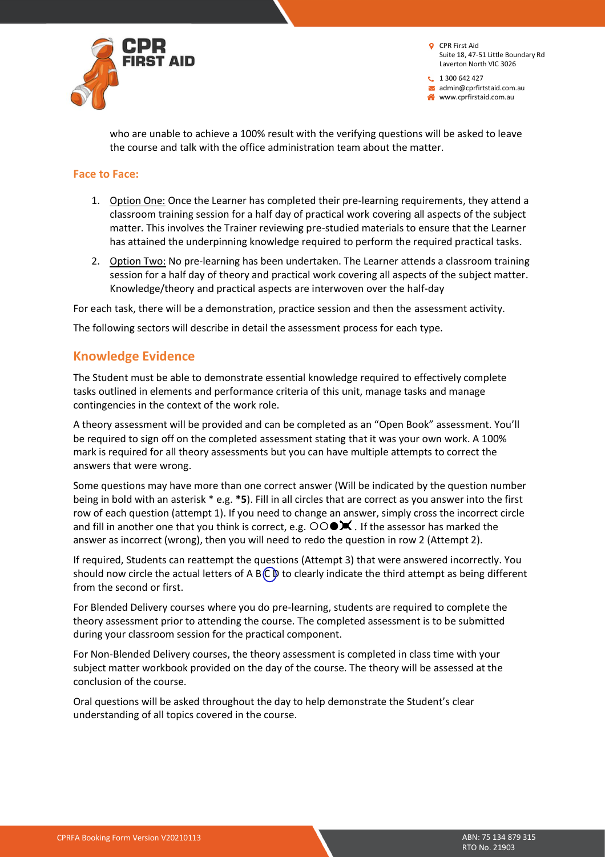

 $1300642427$ admin@cprfirtstaid.com.au www.cprfirstaid.com.au

who are unable to achieve a 100% result with the verifying questions will be asked to leave the course and talk with the office administration team about the matter.

#### **Face to Face:**

- 1. Option One: Once the Learner has completed their pre-learning requirements, they attend a classroom training session for a half day of practical work covering all aspects of the subject matter. This involves the Trainer reviewing pre-studied materials to ensure that the Learner has attained the underpinning knowledge required to perform the required practical tasks.
- 2. Option Two: No pre-learning has been undertaken. The Learner attends a classroom training session for a half day of theory and practical work covering all aspects of the subject matter. Knowledge/theory and practical aspects are interwoven over the half-day

For each task, there will be a demonstration, practice session and then the assessment activity.

The following sectors will describe in detail the assessment process for each type.

#### **Knowledge Evidence**

The Student must be able to demonstrate essential knowledge required to effectively complete tasks outlined in elements and performance criteria of this unit, manage tasks and manage contingencies in the context of the work role.

A theory assessment will be provided and can be completed as an "Open Book" assessment. You'll be required to sign off on the completed assessment stating that it was your own work. A 100% mark is required for all theory assessments but you can have multiple attempts to correct the answers that were wrong.

Some questions may have more than one correct answer (Will be indicated by the question number being in bold with an asterisk \* e.g. **\*5**). Fill in all circles that are correct as you answer into the first row of each question (attempt 1). If you need to change an answer, simply cross the incorrect circle and fill in another one that you think is correct, e.g.  $\overline{O} \circ \bullet \mathbf{X}$ . If the assessor has marked the answer as incorrect (wrong), then you will need to redo the question in row 2 (Attempt 2).

If required, Students can reattempt the questions (Attempt 3) that were answered incorrectly. You should now circle the actual letters of A B $\mathbb C\mathbb D$  to clearly indicate the third attempt as being different from the second or first.

For Blended Delivery courses where you do pre-learning, students are required to complete the theory assessment prior to attending the course. The completed assessment is to be submitted during your classroom session for the practical component.

For Non-Blended Delivery courses, the theory assessment is completed in class time with your subject matter workbook provided on the day of the course. The theory will be assessed at the conclusion of the course.

Oral questions will be asked throughout the day to help demonstrate the Student's clear understanding of all topics covered in the course.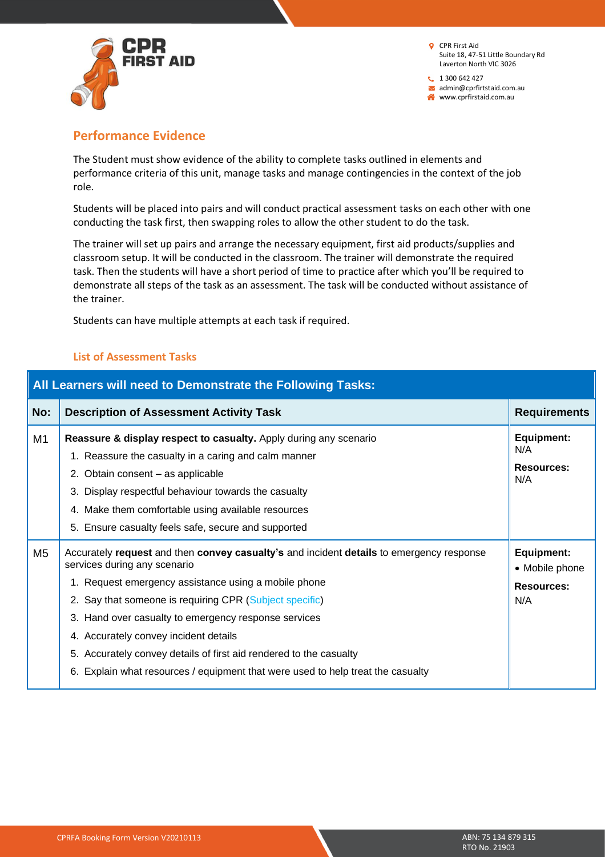

 $1300642427$ admin@cprfirtstaid.com.au www.cprfirstaid.com.au

#### **Performance Evidence**

The Student must show evidence of the ability to complete tasks outlined in elements and performance criteria of this unit, manage tasks and manage contingencies in the context of the job role.

Students will be placed into pairs and will conduct practical assessment tasks on each other with one conducting the task first, then swapping roles to allow the other student to do the task.

The trainer will set up pairs and arrange the necessary equipment, first aid products/supplies and classroom setup. It will be conducted in the classroom. The trainer will demonstrate the required task. Then the students will have a short period of time to practice after which you'll be required to demonstrate all steps of the task as an assessment. The task will be conducted without assistance of the trainer.

Students can have multiple attempts at each task if required.

#### **List of Assessment Tasks**

| All Learners will need to Demonstrate the Following Tasks: |                                                                                                                                                                                                                                                                                                                                                                                                                                                                                                    |                                                                 |  |  |
|------------------------------------------------------------|----------------------------------------------------------------------------------------------------------------------------------------------------------------------------------------------------------------------------------------------------------------------------------------------------------------------------------------------------------------------------------------------------------------------------------------------------------------------------------------------------|-----------------------------------------------------------------|--|--|
| No:                                                        | <b>Description of Assessment Activity Task</b>                                                                                                                                                                                                                                                                                                                                                                                                                                                     | <b>Requirements</b>                                             |  |  |
| M1                                                         | <b>Reassure &amp; display respect to casualty.</b> Apply during any scenario<br>1. Reassure the casualty in a caring and calm manner<br>2. Obtain consent - as applicable<br>Display respectful behaviour towards the casualty<br>4. Make them comfortable using available resources<br>5. Ensure casualty feels safe, secure and supported                                                                                                                                                        | Equipment:<br>N/A<br>Resources:<br>N/A                          |  |  |
| M <sub>5</sub>                                             | Accurately request and then convey casualty's and incident details to emergency response<br>services during any scenario<br>1. Request emergency assistance using a mobile phone<br>2. Say that someone is requiring CPR (Subject specific)<br>3. Hand over casualty to emergency response services<br>4. Accurately convey incident details<br>5. Accurately convey details of first aid rendered to the casualty<br>Explain what resources / equipment that were used to help treat the casualty | <b>Equipment:</b><br>• Mobile phone<br><b>Resources:</b><br>N/A |  |  |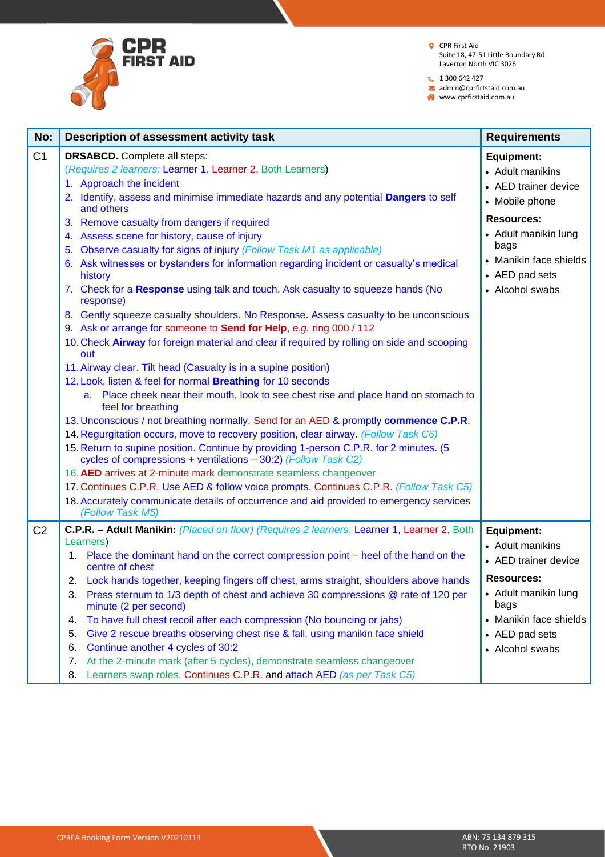

 $1300642427$ 

admin@cprfirtstaid.com.au

www.cprfirstaid.com.au

| No:            | Description of assessment activity task                                                                                                                                                                                                                                                                                                 | <b>Requirements</b>                                                      |
|----------------|-----------------------------------------------------------------------------------------------------------------------------------------------------------------------------------------------------------------------------------------------------------------------------------------------------------------------------------------|--------------------------------------------------------------------------|
| C <sub>1</sub> | <b>DRSABCD.</b> Complete all steps:<br>(Requires 2 learners: Learner 1, Learner 2, Both Learners)<br>1. Approach the incident                                                                                                                                                                                                           | <b>Equipment:</b><br>• Adult manikins<br>• AED trainer device            |
|                | 2. Identify, assess and minimise immediate hazards and any potential Dangers to self<br>and others                                                                                                                                                                                                                                      | • Mobile phone<br><b>Resources:</b>                                      |
|                | 3. Remove casualty from dangers if required<br>4. Assess scene for history, cause of injury<br>5. Observe casualty for signs of injury (Follow Task M1 as applicable)<br>6. Ask witnesses or bystanders for information regarding incident or casualty's medical<br>history                                                             | • Adult manikin lung<br>bags<br>• Manikin face shields<br>• AED pad sets |
|                | 7. Check for a Response using talk and touch. Ask casualty to squeeze hands (No<br>response)                                                                                                                                                                                                                                            | • Alcohol swabs                                                          |
|                | 8. Gently squeeze casualty shoulders. No Response. Assess casualty to be unconscious<br>9. Ask or arrange for someone to Send for Help, e.g. ring 000 / 112<br>10. Check Airway for foreign material and clear if required by rolling on side and scooping<br>out                                                                       |                                                                          |
|                | 11. Airway clear. Tilt head (Casualty is in a supine position)<br>12. Look, listen & feel for normal Breathing for 10 seconds<br>a. Place cheek near their mouth, look to see chest rise and place hand on stomach to<br>feel for breathing                                                                                             |                                                                          |
|                | 13. Unconscious / not breathing normally. Send for an AED & promptly commence C.P.R.<br>14. Regurgitation occurs, move to recovery position, clear airway. (Follow Task C6)<br>15. Return to supine position. Continue by providing 1-person C.P.R. for 2 minutes. (5<br>cycles of compressions + ventilations - 30:2) (Follow Task C2) |                                                                          |
|                | 16. AED arrives at 2-minute mark demonstrate seamless changeover<br>17. Continues C.P.R. Use AED & follow voice prompts. Continues C.P.R. (Follow Task C5)<br>18. Accurately communicate details of occurrence and aid provided to emergency services<br>(Follow Task M5)                                                               |                                                                          |
| C <sub>2</sub> | C.P.R. - Adult Manikin: (Placed on floor) (Requires 2 learners: Learner 1, Learner 2, Both<br>Learners)<br>1. Place the dominant hand on the correct compression point – heel of the hand on the<br>centre of chest                                                                                                                     | <b>Equipment:</b><br>• Adult manikins<br>• AED trainer device            |
|                | 2. Lock hands together, keeping fingers off chest, arms straight, shoulders above hands<br>Press sternum to 1/3 depth of chest and achieve 30 compressions @ rate of 120 per<br>3.<br>minute (2 per second)                                                                                                                             | <b>Resources:</b><br>• Adult manikin lung<br>bags                        |
|                | To have full chest recoil after each compression (No bouncing or jabs)<br>4.<br>Give 2 rescue breaths observing chest rise & fall, using manikin face shield<br>5.<br>Continue another 4 cycles of 30:2<br>6.<br>At the 2-minute mark (after 5 cycles), demonstrate seamless changeover<br>7.                                           | • Manikin face shields<br>• AED pad sets<br>• Alcohol swabs              |
|                | Learners swap roles. Continues C.P.R. and attach AED (as per Task C5)<br>8.                                                                                                                                                                                                                                                             |                                                                          |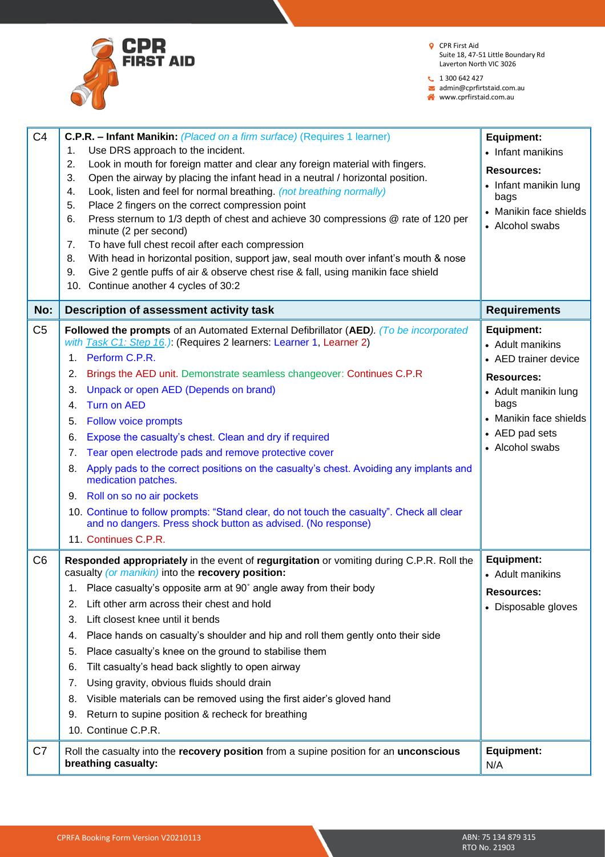

 $1300642427$ 

admin@cprfirtstaid.com.au

www.cprfirstaid.com.au

| C <sub>4</sub> | <b>C.P.R. – Infant Manikin:</b> (Placed on a firm surface) (Requires 1 learner)                                                                           | <b>Equipment:</b>        |
|----------------|-----------------------------------------------------------------------------------------------------------------------------------------------------------|--------------------------|
|                | Use DRS approach to the incident.<br>1.                                                                                                                   | • Infant manikins        |
|                | Look in mouth for foreign matter and clear any foreign material with fingers.<br>2.                                                                       | <b>Resources:</b>        |
|                | Open the airway by placing the infant head in a neutral / horizontal position.<br>3.                                                                      | • Infant manikin lung    |
|                | Look, listen and feel for normal breathing. (not breathing normally)<br>4.                                                                                | bags                     |
|                | Place 2 fingers on the correct compression point<br>5.                                                                                                    | • Manikin face shields   |
|                | Press sternum to 1/3 depth of chest and achieve 30 compressions @ rate of 120 per<br>6.<br>minute (2 per second)                                          | • Alcohol swabs          |
|                | To have full chest recoil after each compression<br>7.                                                                                                    |                          |
|                | With head in horizontal position, support jaw, seal mouth over infant's mouth & nose<br>8.                                                                |                          |
|                | Give 2 gentle puffs of air & observe chest rise & fall, using manikin face shield<br>9.                                                                   |                          |
|                | 10. Continue another 4 cycles of 30:2                                                                                                                     |                          |
| No:            | Description of assessment activity task                                                                                                                   | <b>Requirements</b>      |
| C <sub>5</sub> | Followed the prompts of an Automated External Defibrillator (AED). (To be incorporated                                                                    | <b>Equipment:</b>        |
|                | with Task C1: Step 16.) (Requires 2 learners: Learner 1, Learner 2)                                                                                       | • Adult manikins         |
|                | Perform C.P.R.<br>1.                                                                                                                                      | • AED trainer device     |
|                | Brings the AED unit. Demonstrate seamless changeover: Continues C.P.R<br>2.                                                                               | <b>Resources:</b>        |
|                | Unpack or open AED (Depends on brand)<br>3.                                                                                                               | • Adult manikin lung     |
|                | <b>Turn on AED</b><br>4.                                                                                                                                  | bags                     |
|                | <b>Follow voice prompts</b><br>5.                                                                                                                         | • Manikin face shields   |
|                | Expose the casualty's chest. Clean and dry if required<br>6.                                                                                              | • AED pad sets           |
|                | Tear open electrode pads and remove protective cover<br>7.                                                                                                | • Alcohol swabs          |
|                | Apply pads to the correct positions on the casualty's chest. Avoiding any implants and<br>8.<br>medication patches.                                       |                          |
|                | Roll on so no air pockets<br>9.                                                                                                                           |                          |
|                | 10. Continue to follow prompts: "Stand clear, do not touch the casualty". Check all clear<br>and no dangers. Press shock button as advised. (No response) |                          |
|                | 11. Continues C.P.R.                                                                                                                                      |                          |
| C <sub>6</sub> | Responded appropriately in the event of regurgitation or vomiting during C.P.R. Roll the                                                                  | <b>Equipment:</b>        |
|                | casualty (or manikin) into the recovery position:                                                                                                         | • Adult manikins         |
|                | 1. Place casualty's opposite arm at 90° angle away from their body                                                                                        | <b>Resources:</b>        |
|                | Lift other arm across their chest and hold<br>2.                                                                                                          | • Disposable gloves      |
|                | Lift closest knee until it bends<br>3.                                                                                                                    |                          |
|                | Place hands on casualty's shoulder and hip and roll them gently onto their side<br>4.                                                                     |                          |
|                | Place casualty's knee on the ground to stabilise them<br>5.                                                                                               |                          |
|                | Tilt casualty's head back slightly to open airway<br>6.                                                                                                   |                          |
|                | Using gravity, obvious fluids should drain<br>7.                                                                                                          |                          |
|                | Visible materials can be removed using the first aider's gloved hand<br>8.                                                                                |                          |
|                | Return to supine position & recheck for breathing<br>9.                                                                                                   |                          |
|                | 10. Continue C.P.R.                                                                                                                                       |                          |
| C7             | Roll the casualty into the recovery position from a supine position for an unconscious<br>breathing casualty:                                             | <b>Equipment:</b><br>N/A |